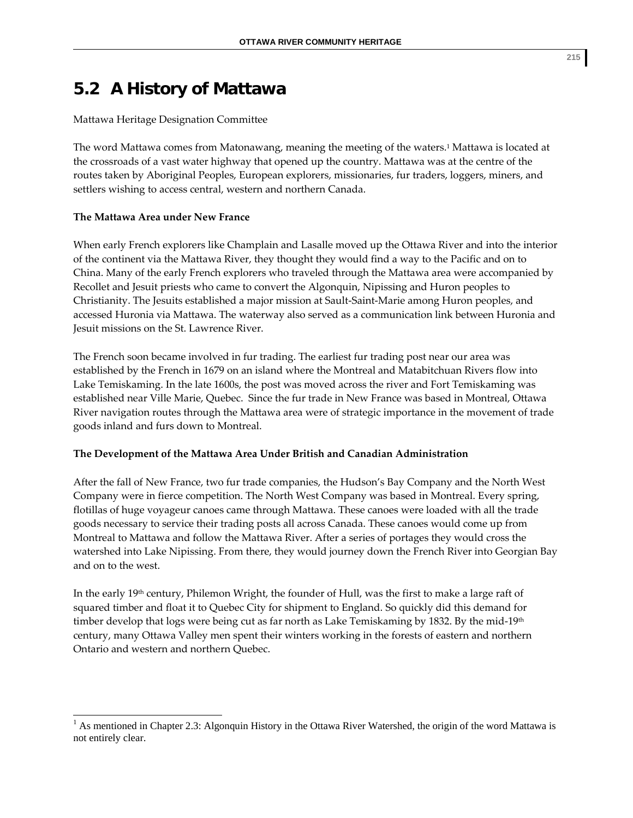# **5.2 A History of Mattawa**

### Mattawa Heritage Designation Committee

The word Mattawa comes from Matonawang, meaning the meeting of the waters.<sup>1</sup> Mattawa is located at the crossroads of a vast water highway that opened up the country. Mattawa was at the centre of the routes taken by Aboriginal Peoples, European explorers, missionaries, fur traders, loggers, miners, and settlers wishing to access central, western and northern Canada.

### **The Mattawa Area under New France**

 $\overline{a}$ 

When early French explorers like Champlain and Lasalle moved up the Ottawa River and into the interior of the continent via the Mattawa River, they thought they would find a way to the Pacific and on to China. Many of the early French explorers who traveled through the Mattawa area were accompanied by Recollet and Jesuit priests who came to convert the Algonquin, Nipissing and Huron peoples to Christianity. The Jesuits established a major mission at Sault‐Saint‐Marie among Huron peoples, and accessed Huronia via Mattawa. The waterway also served as a communication link between Huronia and Jesuit missions on the St. Lawrence River.

The French soon became involved in fur trading. The earliest fur trading post near our area was established by the French in 1679 on an island where the Montreal and Matabitchuan Rivers flow into Lake Temiskaming. In the late 1600s, the post was moved across the river and Fort Temiskaming was established near Ville Marie, Quebec. Since the fur trade in New France was based in Montreal, Ottawa River navigation routes through the Mattawa area were of strategic importance in the movement of trade goods inland and furs down to Montreal.

### **The Development of the Mattawa Area Under British and Canadian Administration**

After the fall of New France, two fur trade companies, the Hudson's Bay Company and the North West Company were in fierce competition. The North West Company was based in Montreal. Every spring, flotillas of huge voyageur canoes came through Mattawa. These canoes were loaded with all the trade goods necessary to service their trading posts all across Canada. These canoes would come up from Montreal to Mattawa and follow the Mattawa River. After a series of portages they would cross the watershed into Lake Nipissing. From there, they would journey down the French River into Georgian Bay and on to the west.

In the early 19th century, Philemon Wright, the founder of Hull, was the first to make a large raft of squared timber and float it to Quebec City for shipment to England. So quickly did this demand for timber develop that logs were being cut as far north as Lake Temiskaming by 1832. By the mid-19<sup>th</sup> century, many Ottawa Valley men spent their winters working in the forests of eastern and northern Ontario and western and northern Quebec.

<sup>&</sup>lt;sup>1</sup> As mentioned in Chapter 2.3: Algonquin History in the Ottawa River Watershed, the origin of the word Mattawa is not entirely clear.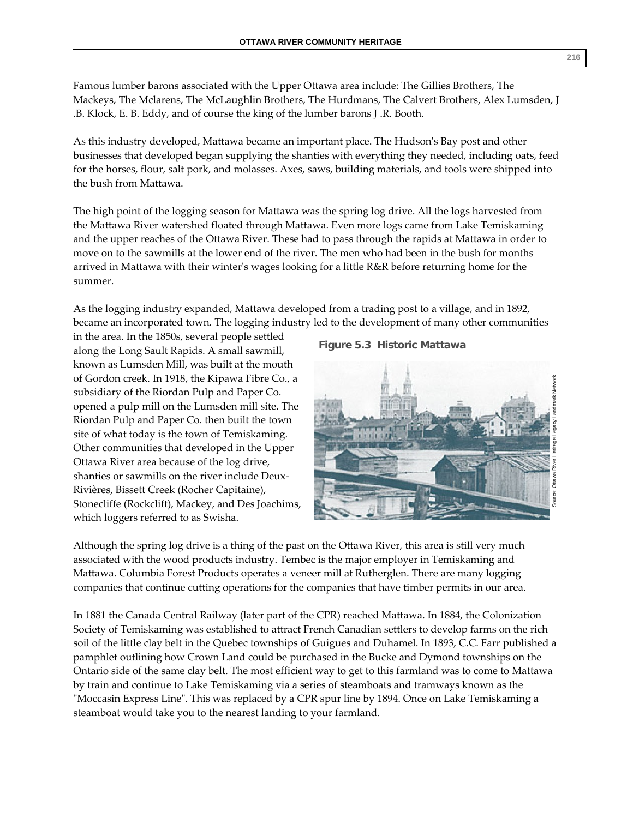Famous lumber barons associated with the Upper Ottawa area include: The Gillies Brothers, The Mackeys, The Mclarens, The McLaughlin Brothers, The Hurdmans, The Calvert Brothers, Alex Lumsden, J .B. Klock, E. B. Eddy, and of course the king of the lumber barons J .R. Booth.

As this industry developed, Mattawa became an important place. The Hudson's Bay post and other businesses that developed began supplying the shanties with everything they needed, including oats, feed for the horses, flour, salt pork, and molasses. Axes, saws, building materials, and tools were shipped into the bush from Mattawa.

The high point of the logging season for Mattawa was the spring log drive. All the logs harvested from the Mattawa River watershed floated through Mattawa. Even more logs came from Lake Temiskaming and the upper reaches of the Ottawa River. These had to pass through the rapids at Mattawa in order to move on to the sawmills at the lower end of the river. The men who had been in the bush for months arrived in Mattawa with their winter's wages looking for a little R&R before returning home for the summer.

As the logging industry expanded, Mattawa developed from a trading post to a village, and in 1892, became an incorporated town. The logging industry led to the development of many other communities

in the area. In the 1850s, several people settled along the Long Sault Rapids. A small sawmill, known as Lumsden Mill, was built at the mouth of Gordon creek. In 1918, the Kipawa Fibre Co., a subsidiary of the Riordan Pulp and Paper Co. opened a pulp mill on the Lumsden mill site. The Riordan Pulp and Paper Co. then built the town site of what today is the town of Temiskaming. Other communities that developed in the Upper Ottawa River area because of the log drive, shanties or sawmills on the river include Deux‐ Rivières, Bissett Creek (Rocher Capitaine), Stonecliffe (Rockclift), Mackey, and Des Joachims, which loggers referred to as Swisha.

## **Figure 5.3 Historic Mattawa**



Although the spring log drive is a thing of the past on the Ottawa River, this area is still very much associated with the wood products industry. Tembec is the major employer in Temiskaming and Mattawa. Columbia Forest Products operates a veneer mill at Rutherglen. There are many logging companies that continue cutting operations for the companies that have timber permits in our area.

In 1881 the Canada Central Railway (later part of the CPR) reached Mattawa. In 1884, the Colonization Society of Temiskaming was established to attract French Canadian settlers to develop farms on the rich soil of the little clay belt in the Quebec townships of Guigues and Duhamel. In 1893, C.C. Farr published a pamphlet outlining how Crown Land could be purchased in the Bucke and Dymond townships on the Ontario side of the same clay belt. The most efficient way to get to this farmland was to come to Mattawa by train and continue to Lake Temiskaming via a series of steamboats and tramways known as the "Moccasin Express Line". This was replaced by a CPR spur line by 1894. Once on Lake Temiskaming a steamboat would take you to the nearest landing to your farmland.